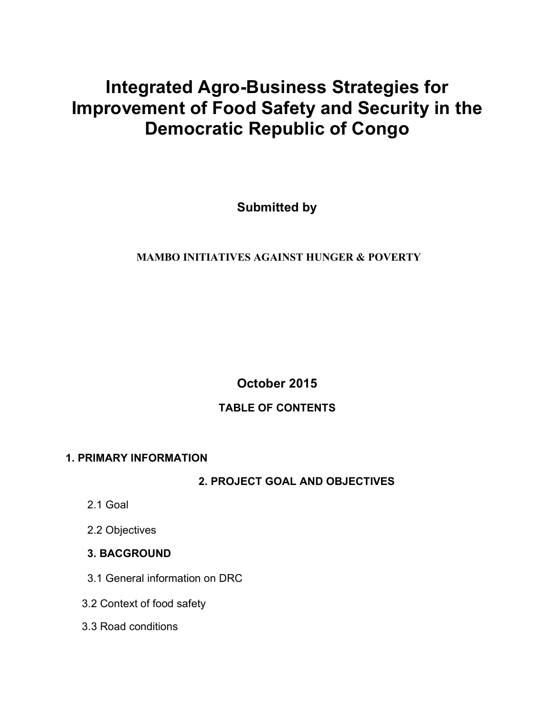# **Integrated Agro-Business Strategies for Improvement of Food Safety and Security in the Democratic Republic of Congo**

**Submitted by**

## **MAMBO INITIATIVES AGAINST HUNGER & POVERTY**

**October 2015**

## **TABLE OF CONTENTS**

## **1. PRIMARY INFORMATION**

**2. PROJECT GOAL AND OBJECTIVES**

- 2.1 Goal
- 2.2 Objectives
- **3. BACGROUND**
- 3.1 General information on DRC
- 3.2 Context of food safety
- 3.3 Road conditions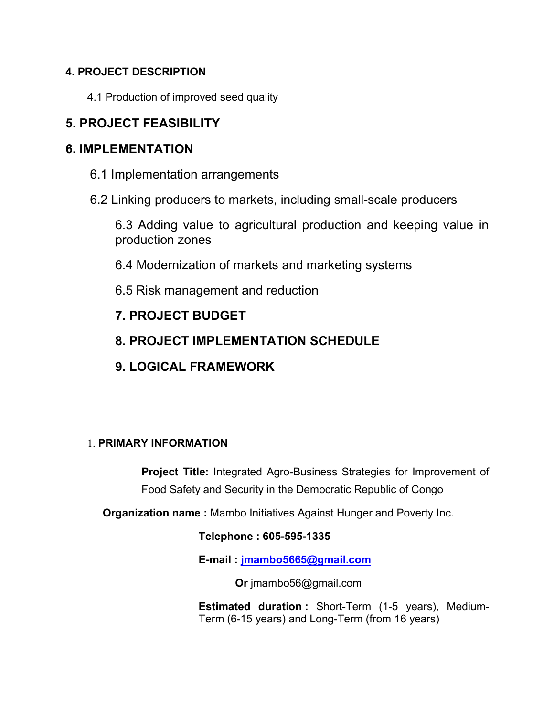## **4. PROJECT DESCRIPTION**

4.1 Production of improved seed quality

# **5. PROJECT FEASIBILITY**

## **6. IMPLEMENTATION**

- 6.1 Implementation arrangements
- 6.2 Linking producers to markets, including small-scale producers

6.3 Adding value to agricultural production and keeping value in production zones

- 6.4 Modernization of markets and marketing systems
- 6.5 Risk management and reduction

# **7. PROJECT BUDGET**

- **8. PROJECT IMPLEMENTATION SCHEDULE**
- **9. LOGICAL FRAMEWORK**

## 1. **PRIMARY INFORMATION**

**Project Title:** Integrated Agro-Business Strategies for Improvement of Food Safety and Security in the Democratic Republic of Congo

**Organization name :** Mambo Initiatives Against Hunger and Poverty Inc.

## **Telephone : 605-595-1335**

**E-mail : jmambo5665@gmail.com**

 **Or** jmambo56@gmail.com

**Estimated duration :** Short-Term (1-5 years), Medium-Term (6-15 years) and Long-Term (from 16 years)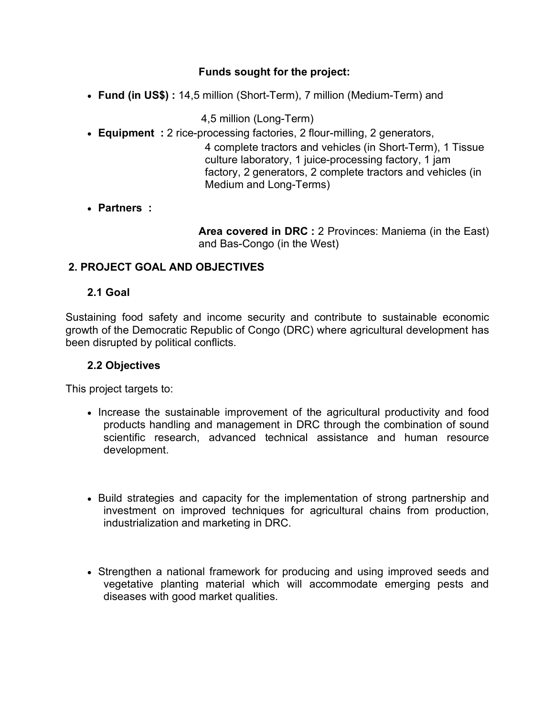### **Funds sought for the project:**

• **Fund (in US\$) :** 14,5 million (Short-Term), 7 million (Medium-Term) and

4,5 million (Long-Term)

• **Equipment :** 2 rice-processing factories, 2 flour-milling, 2 generators,

4 complete tractors and vehicles (in Short-Term), 1 Tissue culture laboratory, 1 juice-processing factory, 1 jam factory, 2 generators, 2 complete tractors and vehicles (in Medium and Long-Terms)

#### • **Partners :**

**Area covered in DRC :** 2 Provinces: Maniema (in the East) and Bas-Congo (in the West)

#### **2. PROJECT GOAL AND OBJECTIVES**

#### **2.1 Goal**

Sustaining food safety and income security and contribute to sustainable economic growth of the Democratic Republic of Congo (DRC) where agricultural development has been disrupted by political conflicts.

#### **2.2 Objectives**

This project targets to:

- Increase the sustainable improvement of the agricultural productivity and food products handling and management in DRC through the combination of sound scientific research, advanced technical assistance and human resource development.
- Build strategies and capacity for the implementation of strong partnership and investment on improved techniques for agricultural chains from production, industrialization and marketing in DRC.
- Strengthen a national framework for producing and using improved seeds and vegetative planting material which will accommodate emerging pests and diseases with good market qualities.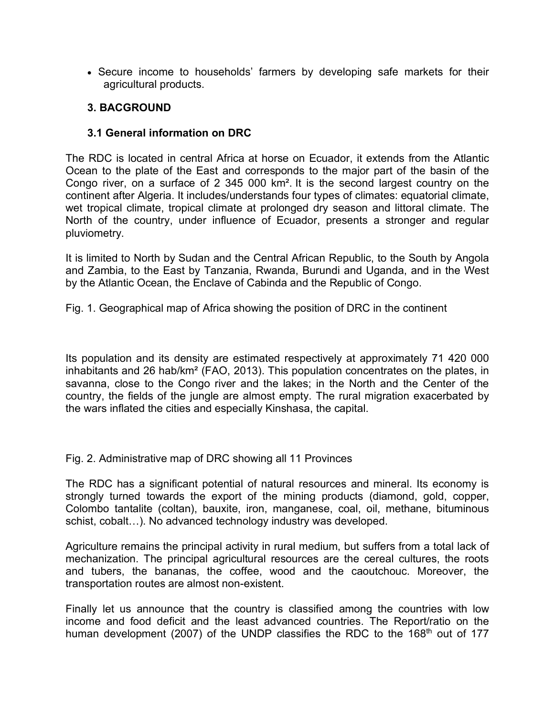• Secure income to households' farmers by developing safe markets for their agricultural products.

#### **3. BACGROUND**

#### **3.1 General information on DRC**

The RDC is located in central Africa at horse on Ecuador, it extends from the Atlantic Ocean to the plate of the East and corresponds to the major part of the basin of the Congo river, on a surface of 2 345 000 km². It is the second largest country on the continent after Algeria. It includes/understands four types of climates: equatorial climate, wet tropical climate, tropical climate at prolonged dry season and littoral climate. The North of the country, under influence of Ecuador, presents a stronger and regular pluviometry.

It is limited to North by Sudan and the Central African Republic, to the South by Angola and Zambia, to the East by Tanzania, Rwanda, Burundi and Uganda, and in the West by the Atlantic Ocean, the Enclave of Cabinda and the Republic of Congo.

Fig. 1. Geographical map of Africa showing the position of DRC in the continent

Its population and its density are estimated respectively at approximately 71 420 000 inhabitants and 26 hab/km² (FAO, 2013). This population concentrates on the plates, in savanna, close to the Congo river and the lakes; in the North and the Center of the country, the fields of the jungle are almost empty. The rural migration exacerbated by the wars inflated the cities and especially Kinshasa, the capital.

Fig. 2. Administrative map of DRC showing all 11 Provinces

The RDC has a significant potential of natural resources and mineral. Its economy is strongly turned towards the export of the mining products (diamond, gold, copper, Colombo tantalite (coltan), bauxite, iron, manganese, coal, oil, methane, bituminous schist, cobalt…). No advanced technology industry was developed.

Agriculture remains the principal activity in rural medium, but suffers from a total lack of mechanization. The principal agricultural resources are the cereal cultures, the roots and tubers, the bananas, the coffee, wood and the caoutchouc. Moreover, the transportation routes are almost non-existent.

Finally let us announce that the country is classified among the countries with low income and food deficit and the least advanced countries. The Report/ratio on the human development (2007) of the UNDP classifies the RDC to the 168<sup>th</sup> out of 177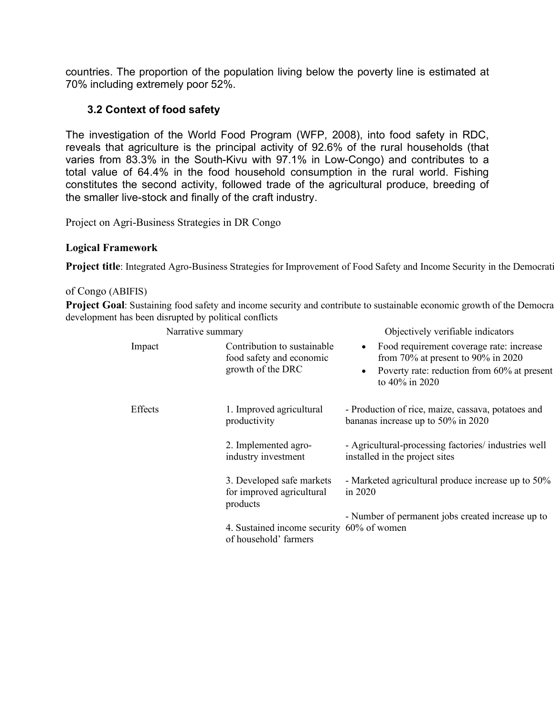countries. The proportion of the population living below the poverty line is estimated at 70% including extremely poor 52%.

#### **3.2 Context of food safety**

The investigation of the World Food Program (WFP, 2008), into food safety in RDC, reveals that agriculture is the principal activity of 92.6% of the rural households (that varies from 83.3% in the South-Kivu with 97.1% in Low-Congo) and contributes to a total value of 64.4% in the food household consumption in the rural world. Fishing constitutes the second activity, followed trade of the agricultural produce, breeding of the smaller live-stock and finally of the craft industry.

Project on Agri-Business Strategies in DR Congo

#### **Logical Framework**

Project title: Integrated Agro-Business Strategies for Improvement of Food Safety and Income Security in the Democrat

#### of Congo (ABIFIS)

Project Goal: Sustaining food safety and income security and contribute to sustainable economic growth of the Democra development has been disrupted by political conflicts

| Narrative summary |  |                                                                              | Objectively verifiable indicators                                                                                                               |  |  |
|-------------------|--|------------------------------------------------------------------------------|-------------------------------------------------------------------------------------------------------------------------------------------------|--|--|
| Impact            |  | Contribution to sustainable<br>food safety and economic<br>growth of the DRC | Food requirement coverage rate: increase<br>from 70% at present to 90% in 2020<br>Poverty rate: reduction from 60% at present<br>to 40% in 2020 |  |  |
| Effects           |  | 1. Improved agricultural<br>productivity                                     | - Production of rice, maize, cassava, potatoes and<br>bananas increase up to 50% in 2020                                                        |  |  |
|                   |  | 2. Implemented agro-<br>industry investment                                  | - Agricultural-processing factories/ industries well<br>installed in the project sites                                                          |  |  |
|                   |  | 3. Developed safe markets<br>for improved agricultural<br>products           | - Marketed agricultural produce increase up to 50%<br>in $2020$                                                                                 |  |  |
|                   |  | 4. Sustained income security 60% of women<br>of household' farmers           | - Number of permanent jobs created increase up to                                                                                               |  |  |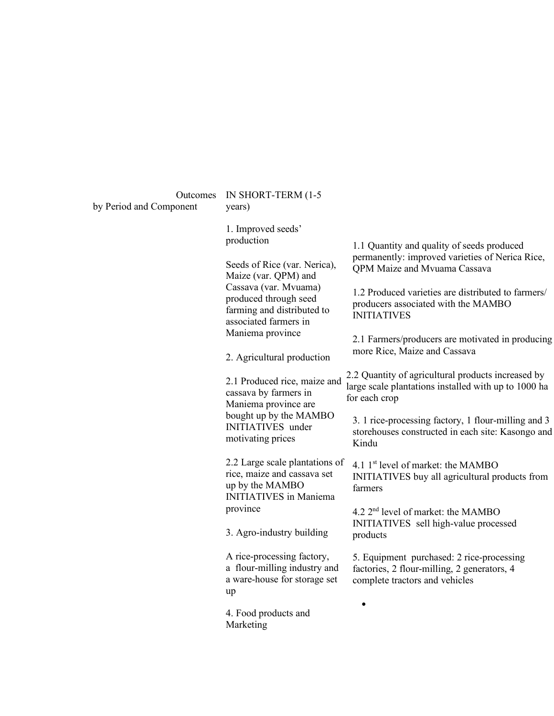by Period and Component

#### Outcomes IN SHORT-TERM (1-5 years)

1. Improved seeds' production

Seeds of Rice (var. Nerica), Maize (var. QPM) and Cassava (var. Mvuama) produced through seed farming and distributed to associated farmers in Maniema province

2. Agricultural production

2.1 Produced rice, maize and cassava by farmers in Maniema province are bought up by the MAMBO INITIATIVES under motivating prices

2.2 Large scale plantations of rice, maize and cassava set up by the MAMBO INITIATIVES in Maniema province

3. Agro-industry building

A rice-processing factory, a flour-milling industry and a ware-house for storage set up

4. Food products and Marketing

1.1 Quantity and quality of seeds produced permanently: improved varieties of Nerica Rice, QPM Maize and Mvuama Cassava

1.2 Produced varieties are distributed to farmers/ producers associated with the MAMBO INITIATIVES

2.1 Farmers/producers are motivated in producing more Rice, Maize and Cassava

2.2 Quantity of agricultural products increased by large scale plantations installed with up to 1000 ha for each crop

3. 1 rice-processing factory, 1 flour-milling and 3 storehouses constructed in each site: Kasongo and Kindu

4.1 1<sup>st</sup> level of market: the MAMBO INITIATIVES buy all agricultural products from farmers

4.2  $2<sup>nd</sup>$  level of market: the MAMBO INITIATIVES sell high-value processed products

5. Equipment purchased: 2 rice-processing factories, 2 flour-milling, 2 generators, 4 complete tractors and vehicles

•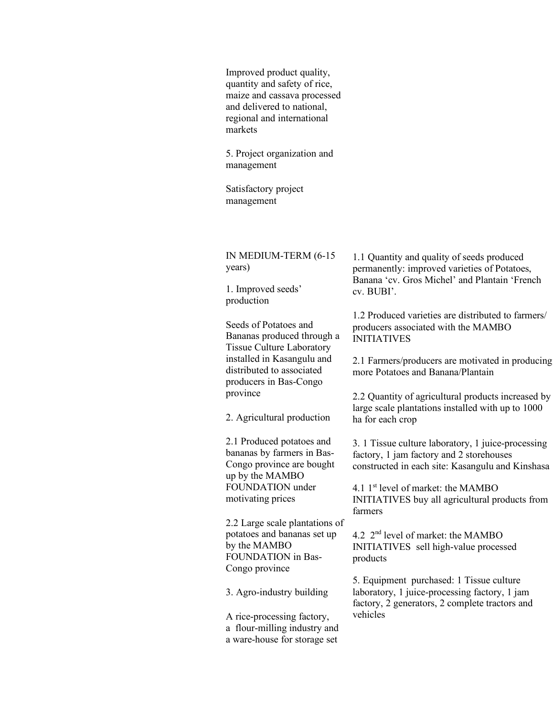Improved product quality, quantity and safety of rice, maize and cassava processed and delivered to national, regional and international markets

5. Project organization and management

Satisfactory project management

IN MEDIUM-TERM (6-15 years)

1. Improved seeds' production

Seeds of Potatoes and Bananas produced through a Tissue Culture Laboratory installed in Kasangulu and distributed to associated producers in Bas-Congo province

2. Agricultural production

2.1 Produced potatoes and bananas by farmers in Bas-Congo province are bought up by the MAMBO FOUNDATION under motivating prices

2.2 Large scale plantations of potatoes and bananas set up by the MAMBO FOUNDATION in Bas-Congo province

3. Agro-industry building

A rice-processing factory, a flour-milling industry and a ware-house for storage set

1.1 Quantity and quality of seeds produced permanently: improved varieties of Potatoes, Banana 'cv. Gros Michel' and Plantain 'French cv. BUBI'.

1.2 Produced varieties are distributed to farmers/ producers associated with the MAMBO INITIATIVES

2.1 Farmers/producers are motivated in producing more Potatoes and Banana/Plantain

2.2 Quantity of agricultural products increased by large scale plantations installed with up to 1000 ha for each crop

3. 1 Tissue culture laboratory, 1 juice-processing factory, 1 jam factory and 2 storehouses constructed in each site: Kasangulu and Kinshasa

4.1 1<sup>st</sup> level of market: the MAMBO INITIATIVES buy all agricultural products from farmers

4.2 2nd level of market: the MAMBO INITIATIVES sell high-value processed products

5. Equipment purchased: 1 Tissue culture laboratory, 1 juice-processing factory, 1 jam factory, 2 generators, 2 complete tractors and vehicles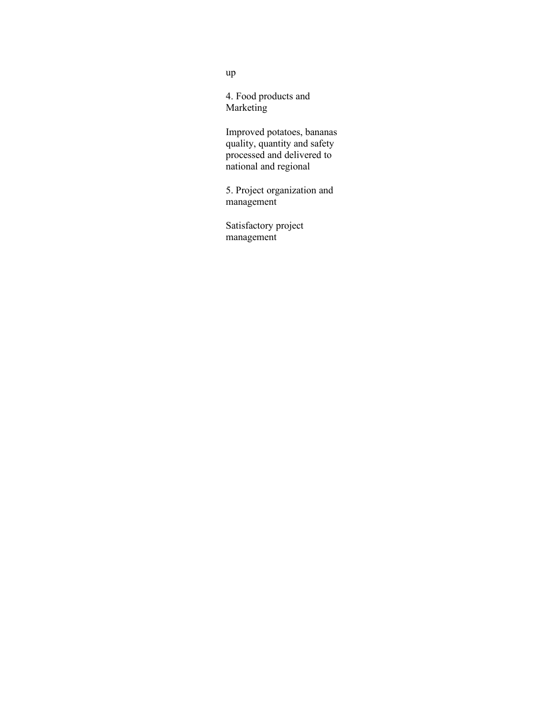4. Food products and Marketing

Improved potatoes, bananas quality, quantity and safety processed and delivered to national and regional

5. Project organization and management

Satisfactory project management

up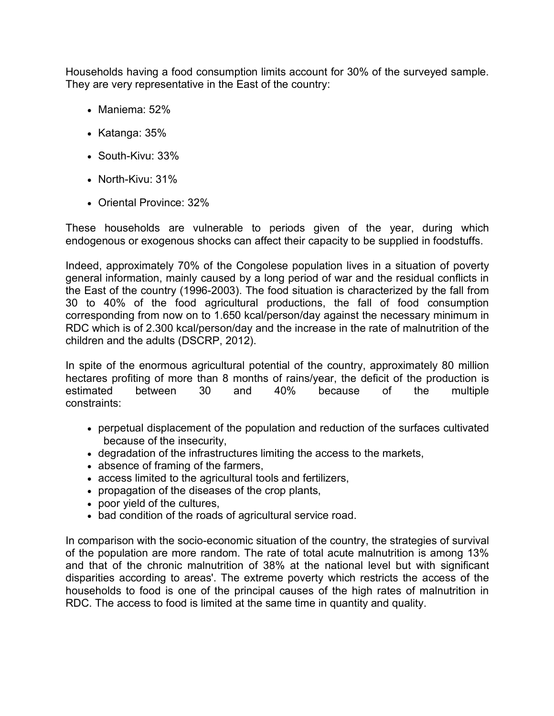Households having a food consumption limits account for 30% of the surveyed sample. They are very representative in the East of the country:

- Maniema: 52%
- Katanga: 35%
- South-Kivu: 33%
- North-Kivu: 31%
- Oriental Province: 32%

These households are vulnerable to periods given of the year, during which endogenous or exogenous shocks can affect their capacity to be supplied in foodstuffs.

Indeed, approximately 70% of the Congolese population lives in a situation of poverty general information, mainly caused by a long period of war and the residual conflicts in the East of the country (1996-2003). The food situation is characterized by the fall from 30 to 40% of the food agricultural productions, the fall of food consumption corresponding from now on to 1.650 kcal/person/day against the necessary minimum in RDC which is of 2.300 kcal/person/day and the increase in the rate of malnutrition of the children and the adults (DSCRP, 2012).

In spite of the enormous agricultural potential of the country, approximately 80 million hectares profiting of more than 8 months of rains/year, the deficit of the production is estimated between 30 and 40% because of the multiple constraints:

- perpetual displacement of the population and reduction of the surfaces cultivated because of the insecurity,
- degradation of the infrastructures limiting the access to the markets,
- absence of framing of the farmers,
- access limited to the agricultural tools and fertilizers,
- propagation of the diseases of the crop plants,
- poor yield of the cultures,
- bad condition of the roads of agricultural service road.

In comparison with the socio-economic situation of the country, the strategies of survival of the population are more random. The rate of total acute malnutrition is among 13% and that of the chronic malnutrition of 38% at the national level but with significant disparities according to areas'. The extreme poverty which restricts the access of the households to food is one of the principal causes of the high rates of malnutrition in RDC. The access to food is limited at the same time in quantity and quality.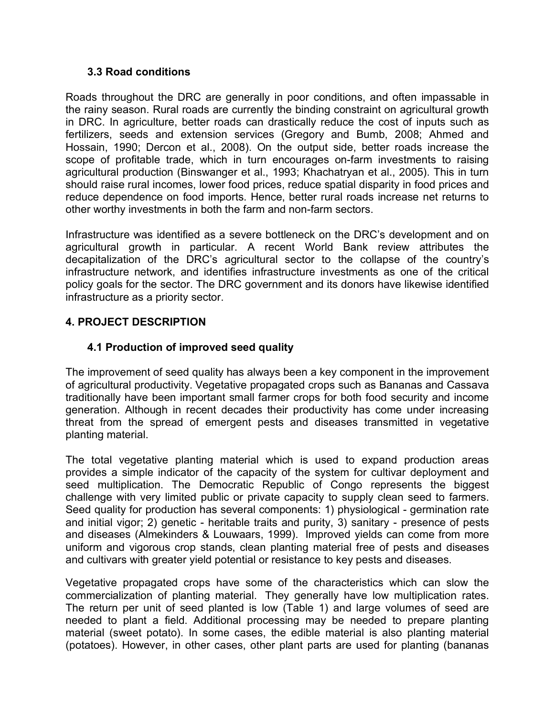#### **3.3 Road conditions**

Roads throughout the DRC are generally in poor conditions, and often impassable in the rainy season. Rural roads are currently the binding constraint on agricultural growth in DRC. In agriculture, better roads can drastically reduce the cost of inputs such as fertilizers, seeds and extension services (Gregory and Bumb, 2008; Ahmed and Hossain, 1990; Dercon et al., 2008). On the output side, better roads increase the scope of profitable trade, which in turn encourages on-farm investments to raising agricultural production (Binswanger et al., 1993; Khachatryan et al., 2005). This in turn should raise rural incomes, lower food prices, reduce spatial disparity in food prices and reduce dependence on food imports. Hence, better rural roads increase net returns to other worthy investments in both the farm and non-farm sectors.

Infrastructure was identified as a severe bottleneck on the DRC's development and on agricultural growth in particular. A recent World Bank review attributes the decapitalization of the DRC's agricultural sector to the collapse of the country's infrastructure network, and identifies infrastructure investments as one of the critical policy goals for the sector. The DRC government and its donors have likewise identified infrastructure as a priority sector.

## **4. PROJECT DESCRIPTION**

### **4.1 Production of improved seed quality**

The improvement of seed quality has always been a key component in the improvement of agricultural productivity. Vegetative propagated crops such as Bananas and Cassava traditionally have been important small farmer crops for both food security and income generation. Although in recent decades their productivity has come under increasing threat from the spread of emergent pests and diseases transmitted in vegetative planting material.

The total vegetative planting material which is used to expand production areas provides a simple indicator of the capacity of the system for cultivar deployment and seed multiplication. The Democratic Republic of Congo represents the biggest challenge with very limited public or private capacity to supply clean seed to farmers. Seed quality for production has several components: 1) physiological - germination rate and initial vigor; 2) genetic - heritable traits and purity, 3) sanitary - presence of pests and diseases (Almekinders & Louwaars, 1999). Improved yields can come from more uniform and vigorous crop stands, clean planting material free of pests and diseases and cultivars with greater yield potential or resistance to key pests and diseases.

Vegetative propagated crops have some of the characteristics which can slow the commercialization of planting material. They generally have low multiplication rates. The return per unit of seed planted is low (Table 1) and large volumes of seed are needed to plant a field. Additional processing may be needed to prepare planting material (sweet potato). In some cases, the edible material is also planting material (potatoes). However, in other cases, other plant parts are used for planting (bananas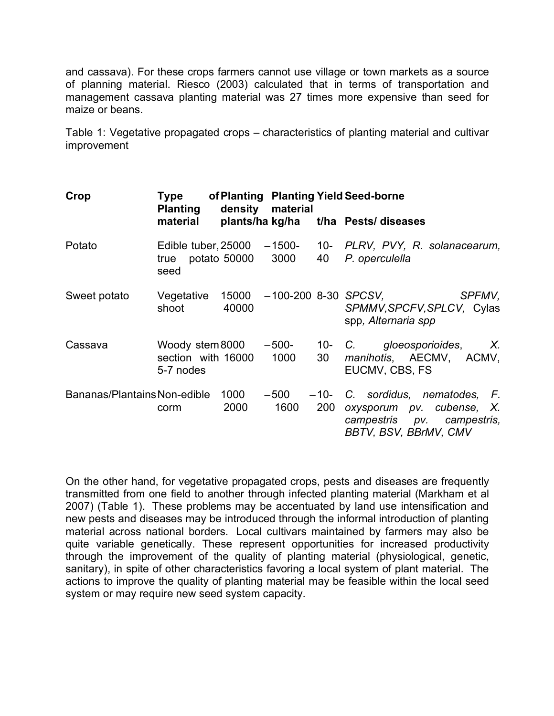and cassava). For these crops farmers cannot use village or town markets as a source of planning material. Riesco (2003) calculated that in terms of transportation and management cassava planting material was 27 times more expensive than seed for maize or beans.

Table 1: Vegetative propagated crops – characteristics of planting material and cultivar improvement

| Crop                         | Type<br><b>Planting</b>                            |                | density material | of Planting Planting Yield Seed-borne |                                                                                                                        |
|------------------------------|----------------------------------------------------|----------------|------------------|---------------------------------------|------------------------------------------------------------------------------------------------------------------------|
|                              | material                                           |                |                  |                                       | plants/ha kg/ha t/ha Pests/ diseases                                                                                   |
| Potato                       | Edible tuber, $25000 - 1500$<br>true<br>seed       | potato 50000   | 3000             | 40                                    | 10- PLRV, PVY, R. solanacearum,<br>P. operculella                                                                      |
| Sweet potato                 | Vegetative<br>shoot                                | 15000<br>40000 |                  |                                       | $-100-200$ 8-30 SPCSV,<br><i>SPFMV,</i><br>SPMMV, SPCFV, SPLCV, Cylas<br>spp, Alternaria spp                           |
| Cassava                      | Woody stem 8000<br>section with 16000<br>5-7 nodes |                | $-500-$<br>1000  | 30                                    | 10- C. gloeosporioides,<br>Χ.<br>manihotis, AECMV, ACMV,<br>EUCMV, CBS, FS                                             |
| Bananas/Plantains Non-edible | corm                                               | 1000<br>2000   | $-500$<br>1600   | 200                                   | $-10$ - C. sordidus, nematodes, F.<br>oxysporum pv. cubense, X.<br>campestris pv. campestris,<br>BBTV, BSV, BBrMV, CMV |

On the other hand, for vegetative propagated crops, pests and diseases are frequently transmitted from one field to another through infected planting material (Markham et al 2007) (Table 1). These problems may be accentuated by land use intensification and new pests and diseases may be introduced through the informal introduction of planting material across national borders. Local cultivars maintained by farmers may also be quite variable genetically. These represent opportunities for increased productivity through the improvement of the quality of planting material (physiological, genetic, sanitary), in spite of other characteristics favoring a local system of plant material. The actions to improve the quality of planting material may be feasible within the local seed system or may require new seed system capacity.